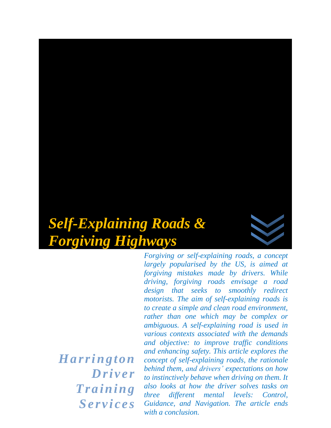# *Self-Explaining Roads & Forgiving Highways*



*H ar r i ngton Dr i v e r*   $Training$ *Se r v i c e s*

*Forgiving or self-explaining roads, a concept largely popularised by the US, is aimed at forgiving mistakes made by drivers. While driving, forgiving roads envisage a road design that seeks to smoothly redirect motorists. The aim of self-explaining roads is to create a simple and clean road environment, rather than one which may be complex or ambiguous. A self-explaining road is used in various contexts associated with the demands and objective: to improve traffic conditions and enhancing safety. This article explores the concept of self-explaining roads, the rationale behind them, and drivers' expectations on how to instinctively behave when driving on them. It also looks at how the driver solves tasks on three different mental levels: Control, Guidance, and Navigation. The article ends with a conclusion.*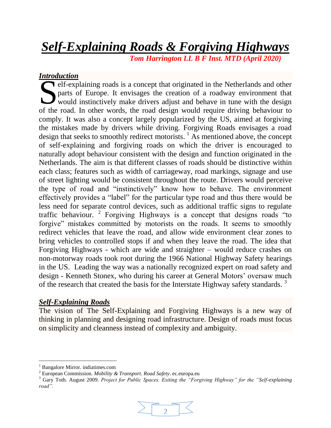## *Self-Explaining Roads & Forgiving Highways*

 *Tom Harrington LL B F Inst. MTD (April 2020)*

### *Introduction*

elf-explaining roads is a concept that originated in the Netherlands and other parts of Europe. It envisages the creation of a roadway environment that would instinctively make drivers adjust and behave in tune with the design of the road. In other words, the road design would require driving behaviour to the road. In other words, the road design would require driving behaviour to comply. It was also a concept largely popularized by the US, aimed at forgiving the mistakes made by drivers while driving. Forgiving Roads envisages a road design that seeks to smoothly redirect motorists.  $\frac{1}{1}$  As mentioned above, the concept of self-explaining and forgiving roads on which the driver is encouraged to naturally adopt behaviour consistent with the design and function originated in the Netherlands. The aim is that different classes of roads should be distinctive within each class; features such as width of carriageway, road markings, signage and use of street lighting would be consistent throughout the route. Drivers would perceive the type of road and "instinctively" know how to behave. The environment effectively provides a "label" for the particular type road and thus there would be less need for separate control devices, such as additional traffic signs to regulate traffic behaviour. <sup>2</sup> Forgiving Highways is a concept that designs roads "to forgive" mistakes committed by motorists on the roads. It seems to smoothly redirect vehicles that leave the road, and allow wide environment clear zones to bring vehicles to controlled stops if and when they leave the road. The idea that Forgiving Highways - which are wide and straighter – would reduce crashes on non-motorway roads took root during the 1966 National Highway Safety hearings in the US. Leading the way was a nationally recognized expert on road safety and design - Kenneth Stonex, who during his career at General Motors' oversaw much of the research that created the basis for the Interstate Highway safety standards.<sup>3</sup>

#### *Self-Explaining Roads*

The vision of The Self-Explaining and Forgiving Highways is a new way of thinking in planning and designing road infrastructure. Design of roads must focus on simplicity and cleanness instead of complexity and ambiguity.

l

<sup>3</sup> Gary Toth. August 2009. *Project for Public Spaces. Exiting the "Forgiving Highway" for the "Self-explaining road".* 



<sup>1</sup> Bangalore Mirror. indiatimes.com

<sup>2</sup> European Commission. *Mobility & Transport. Road Safety*. ec.europa.eu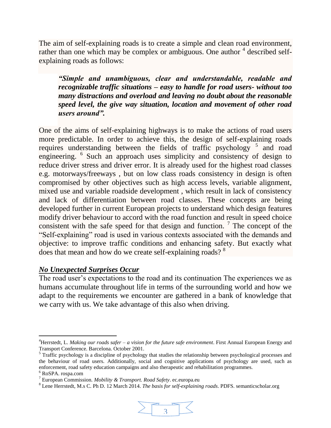The aim of self-explaining roads is to create a simple and clean road environment, rather than one which may be complex or ambiguous. One author  $4$  described selfexplaining roads as follows:

*"Simple and unambiguous, clear and understandable, readable and recognizable traffic situations – easy to handle for road users- without too many distractions and overload and leaving no doubt about the reasonable speed level, the give way situation, location and movement of other road users around".* 

One of the aims of self-explaining highways is to make the actions of road users more predictable. In order to achieve this, the design of self-explaining roads requires understanding between the fields of traffic psychology  $5$  and road engineering. <sup>6</sup> Such an approach uses simplicity and consistency of design to reduce driver stress and driver error. It is already used for the highest road classes e.g. motorways/freeways , but on low class roads consistency in design is often compromised by other objectives such as high access levels, variable alignment, mixed use and variable roadside development , which result in lack of consistency and lack of differentiation between road classes. These concepts are being developed further in current European projects to understand which design features modify driver behaviour to accord with the road function and result in speed choice consistent with the safe speed for that design and function.  $\frac{7}{1}$  The concept of the "Self-explaining" road is used in various contexts associated with the demands and objective: to improve traffic conditions and enhancing safety. But exactly what does that mean and how do we create self-explaining roads?<sup>8</sup>

#### *No Unexpected Surprises Occur*

The road user's expectations to the road and its continuation The experiences we as humans accumulate throughout life in terms of the surrounding world and how we adapt to the requirements we encounter are gathered in a bank of knowledge that we carry with us. We take advantage of this also when driving.

l

<sup>8</sup> Lene Herrstedt, M.s C. Ph D. 12 March 2014. *The basis for self-explaining roads*. PDFS. semanticscholar.org



<sup>4</sup>Herrstedt, L. *Making our roads safer – a vision for the future safe environment*. First Annual European Energy and Transport Conference. Barcelona. October 2001.

<sup>&</sup>lt;sup>5</sup> Traffic psychology is a discipline of psychology that studies the relationship between psychological processes and the behaviour of road users. Additionally, social and cognitive applications of psychology are used, such as enforcement, road safety education campaigns and also therapeutic and rehabilitation programmes.

<sup>6</sup> RoSPA. rospa.com

<sup>7</sup> European Commission. *Mobility & Transport. Road Safety*. ec.europa.eu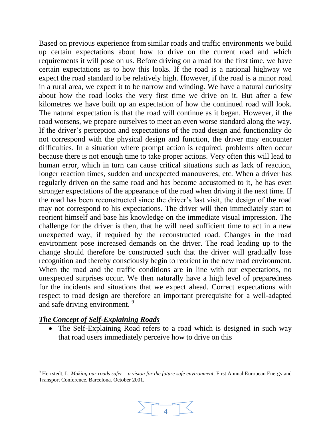Based on previous experience from similar roads and traffic environments we build up certain expectations about how to drive on the current road and which requirements it will pose on us. Before driving on a road for the first time, we have certain expectations as to how this looks. If the road is a national highway we expect the road standard to be relatively high. However, if the road is a minor road in a rural area, we expect it to be narrow and winding. We have a natural curiosity about how the road looks the very first time we drive on it. But after a few kilometres we have built up an expectation of how the continued road will look. The natural expectation is that the road will continue as it began. However, if the road worsens, we prepare ourselves to meet an even worse standard along the way. If the driver's perception and expectations of the road design and functionality do not correspond with the physical design and function, the driver may encounter difficulties. In a situation where prompt action is required, problems often occur because there is not enough time to take proper actions. Very often this will lead to human error, which in turn can cause critical situations such as lack of reaction, longer reaction times, sudden and unexpected manouveres, etc. When a driver has regularly driven on the same road and has become accustomed to it, he has even stronger expectations of the appearance of the road when driving it the next time. If the road has been reconstructed since the driver's last visit, the design of the road may not correspond to his expectations. The driver will then immediately start to reorient himself and base his knowledge on the immediate visual impression. The challenge for the driver is then, that he will need sufficient time to act in a new unexpected way, if required by the reconstructed road. Changes in the road environment pose increased demands on the driver. The road leading up to the change should therefore be constructed such that the driver will gradually lose recognition and thereby consciously begin to reorient in the new road environment. When the road and the traffic conditions are in line with our expectations, no unexpected surprises occur. We then naturally have a high level of preparedness for the incidents and situations that we expect ahead. Correct expectations with respect to road design are therefore an important prerequisite for a well-adapted and safe driving environment.<sup>9</sup>

#### *The Concept of Self-Explaining Roads*

 $\overline{a}$ 

 The Self-Explaining Road refers to a road which is designed in such way that road users immediately perceive how to drive on this

<sup>9</sup> Herrstedt, L. *Making our roads safer – a vision for the future safe environment*. First Annual European Energy and Transport Conference. Barcelona. October 2001.

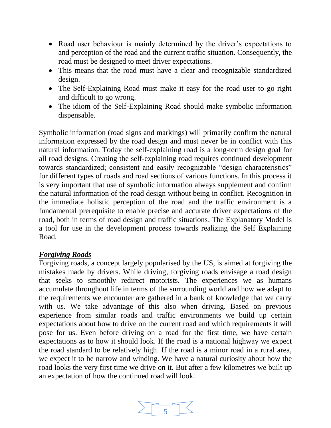- Road user behaviour is mainly determined by the driver's expectations to and perception of the road and the current traffic situation. Consequently, the road must be designed to meet driver expectations.
- This means that the road must have a clear and recognizable standardized design.
- The Self-Explaining Road must make it easy for the road user to go right and difficult to go wrong.
- The idiom of the Self-Explaining Road should make symbolic information dispensable.

Symbolic information (road signs and markings) will primarily confirm the natural information expressed by the road design and must never be in conflict with this natural information. Today the self-explaining road is a long-term design goal for all road designs. Creating the self-explaining road requires continued development towards standardized; consistent and easily recognizable "design characteristics" for different types of roads and road sections of various functions. In this process it is very important that use of symbolic information always supplement and confirm the natural information of the road design without being in conflict. Recognition in the immediate holistic perception of the road and the traffic environment is a fundamental prerequisite to enable precise and accurate driver expectations of the road, both in terms of road design and traffic situations. The Explanatory Model is a tool for use in the development process towards realizing the Self Explaining Road.

#### *Forgiving Roads*

Forgiving roads, a concept largely popularised by the US, is aimed at forgiving the mistakes made by drivers. While driving, forgiving roads envisage a road design that seeks to smoothly redirect motorists. The experiences we as humans accumulate throughout life in terms of the surrounding world and how we adapt to the requirements we encounter are gathered in a bank of knowledge that we carry with us. We take advantage of this also when driving. Based on previous experience from similar roads and traffic environments we build up certain expectations about how to drive on the current road and which requirements it will pose for us. Even before driving on a road for the first time, we have certain expectations as to how it should look. If the road is a national highway we expect the road standard to be relatively high. If the road is a minor road in a rural area, we expect it to be narrow and winding. We have a natural curiosity about how the road looks the very first time we drive on it. But after a few kilometres we built up an expectation of how the continued road will look.

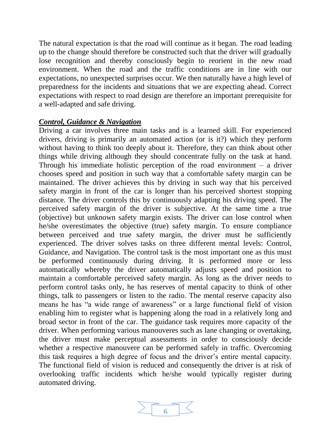The natural expectation is that the road will continue as it began. The road leading up to the change should therefore be constructed such that the driver will gradually lose recognition and thereby consciously begin to reorient in the new road environment. When the road and the traffic conditions are in line with our expectations, no unexpected surprises occur. We then naturally have a high level of preparedness for the incidents and situations that we are expecting ahead. Correct expectations with respect to road design are therefore an important prerequisite for a well-adapted and safe driving.

#### *Control, Guidance & Navigation*

Driving a car involves three main tasks and is a learned skill. For experienced drivers, driving is primarily an automated action (or is it?) which they perform without having to think too deeply about it. Therefore, they can think about other things while driving although they should concentrate fully on the task at hand. Through his immediate holistic perception of the road environment  $-$  a driver chooses speed and position in such way that a comfortable safety margin can be maintained. The driver achieves this by driving in such way that his perceived safety margin in front of the car is longer than his perceived shortest stopping distance. The driver controls this by continuously adapting his driving speed. The perceived safety margin of the driver is subjective. At the same time a true (objective) but unknown safety margin exists. The driver can lose control when he/she overestimates the objective (true) safety margin. To ensure compliance between perceived and true safety margin, the driver must be sufficiently experienced. The driver solves tasks on three different mental levels: Control, Guidance, and Navigation. The control task is the most important one as this must be performed continuously during driving. It is performed more or less automatically whereby the driver automatically adjusts speed and position to maintain a comfortable perceived safety margin. As long as the driver needs to perform control tasks only, he has reserves of mental capacity to think of other things, talk to passengers or listen to the radio. The mental reserve capacity also means he has "a wide range of awareness" or a large functional field of vision enabling him to register what is happening along the road in a relatively long and broad sector in front of the car. The guidance task requires more capacity of the driver. When performing various manouveres such as lane changing or overtaking, the driver must make perceptual assessments in order to consciously decide whether a respective manouvere can be performed safely in traffic. Overcoming this task requires a high degree of focus and the driver's entire mental capacity. The functional field of vision is reduced and consequently the driver is at risk of overlooking traffic incidents which he/she would typically register during automated driving.

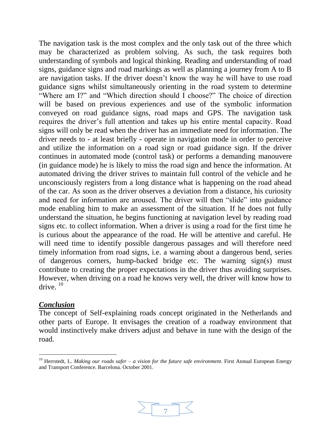The navigation task is the most complex and the only task out of the three which may be characterized as problem solving. As such, the task requires both understanding of symbols and logical thinking. Reading and understanding of road signs, guidance signs and road markings as well as planning a journey from A to B are navigation tasks. If the driver doesn't know the way he will have to use road guidance signs whilst simultaneously orienting in the road system to determine "Where am I?" and "Which direction should I choose?" The choice of direction will be based on previous experiences and use of the symbolic information conveyed on road guidance signs, road maps and GPS. The navigation task requires the driver's full attention and takes up his entire mental capacity. Road signs will only be read when the driver has an immediate need for information. The driver needs to - at least briefly - operate in navigation mode in order to perceive and utilize the information on a road sign or road guidance sign. If the driver continues in automated mode (control task) or performs a demanding manouvere (in guidance mode) he is likely to miss the road sign and hence the information. At automated driving the driver strives to maintain full control of the vehicle and he unconsciously registers from a long distance what is happening on the road ahead of the car. As soon as the driver observes a deviation from a distance, his curiosity and need for information are aroused. The driver will then "slide" into guidance mode enabling him to make an assessment of the situation. If he does not fully understand the situation, he begins functioning at navigation level by reading road signs etc. to collect information. When a driver is using a road for the first time he is curious about the appearance of the road. He will be attentive and careful. He will need time to identify possible dangerous passages and will therefore need timely information from road signs, i.e. a warning about a dangerous bend, series of dangerous corners, hump-backed bridge etc. The warning sign(s) must contribute to creating the proper expectations in the driver thus avoiding surprises. However, when driving on a road he knows very well, the driver will know how to drive.  $10$ 

#### *Conclusion*

l

The concept of Self-explaining roads concept originated in the Netherlands and other parts of Europe. It envisages the creation of a roadway environment that would instinctively make drivers adjust and behave in tune with the design of the road.



<sup>10</sup> Herrstedt, L. *Making our roads safer – a vision for the future safe environment*. First Annual European Energy and Transport Conference. Barcelona. October 2001.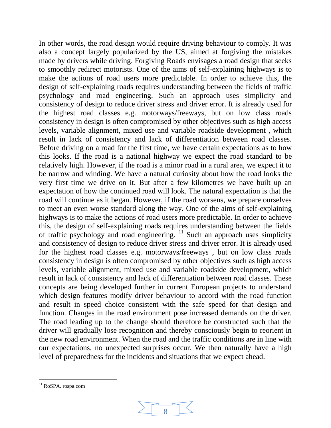In other words, the road design would require driving behaviour to comply. It was also a concept largely popularized by the US, aimed at forgiving the mistakes made by drivers while driving. Forgiving Roads envisages a road design that seeks to smoothly redirect motorists. One of the aims of self-explaining highways is to make the actions of road users more predictable. In order to achieve this, the design of self-explaining roads requires understanding between the fields of traffic psychology and road engineering. Such an approach uses simplicity and consistency of design to reduce driver stress and driver error. It is already used for the highest road classes e.g. motorways/freeways, but on low class roads consistency in design is often compromised by other objectives such as high access levels, variable alignment, mixed use and variable roadside development , which result in lack of consistency and lack of differentiation between road classes. Before driving on a road for the first time, we have certain expectations as to how this looks. If the road is a national highway we expect the road standard to be relatively high. However, if the road is a minor road in a rural area, we expect it to be narrow and winding. We have a natural curiosity about how the road looks the very first time we drive on it. But after a few kilometres we have built up an expectation of how the continued road will look. The natural expectation is that the road will continue as it began. However, if the road worsens, we prepare ourselves to meet an even worse standard along the way. One of the aims of self-explaining highways is to make the actions of road users more predictable. In order to achieve this, the design of self-explaining roads requires understanding between the fields of traffic psychology and road engineering. <sup>11</sup> Such an approach uses simplicity and consistency of design to reduce driver stress and driver error. It is already used for the highest road classes e.g. motorways/freeways , but on low class roads consistency in design is often compromised by other objectives such as high access levels, variable alignment, mixed use and variable roadside development, which result in lack of consistency and lack of differentiation between road classes. These concepts are being developed further in current European projects to understand which design features modify driver behaviour to accord with the road function and result in speed choice consistent with the safe speed for that design and function. Changes in the road environment pose increased demands on the driver. The road leading up to the change should therefore be constructed such that the driver will gradually lose recognition and thereby consciously begin to reorient in the new road environment. When the road and the traffic conditions are in line with our expectations, no unexpected surprises occur. We then naturally have a high level of preparedness for the incidents and situations that we expect ahead.

 $\overline{a}$ 



<sup>&</sup>lt;sup>11</sup> RoSPA. rospa.com